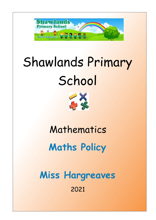

# Shawlands Primary **School**



Mathematics **Maths Policy**

**Miss Hargreaves** 2021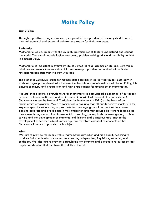# **Maths Policy**

## **Our Vision:**

Through a positive caring environment, we provide the opportunity for every child to reach their full potential and ensure all children are ready for their next steps.

#### **Rationale:**

Mathematics equips pupils with the uniquely powerful set of tools to understand and change the world. These tools include logical reasoning, problem solving skills and the ability to think in abstract ways.

Mathematics is important in everyday life. It is integral to all aspects of life and, with this in mind, we endeavour to ensure that children develop a positive and enthusiastic attitude towards mathematics that will stay with them.

The National Curriculum order for mathematics describes in detail what pupils must learn in each year group. Combined with the town Centre School's collaboration Calculation Policy, this ensures continuity and progression and high expectations for attainment in mathematics.

It is vital that a positive attitude towards mathematics is encouraged amongst all of our pupils in order to foster confidence and achievement in a skill that is essential in our society. At Shawlands we use the National Curriculum for Mathematics (2014) as the basis of our mathematics programme. We are committed to ensuring that all pupils achieve mastery in the key concepts of mathematics, appropriate for their age group, in order that they make genuine progress and avoid gaps in their understanding that provide barriers to learning as they move through education. Assessment for Learning, an emphasis on investigation, problem solving and the development of mathematical thinking and a rigorous approach to the development of teacher subject knowledge are therefore essential components of the Shawlands Primary approach to this subject.

#### **Aims**

We aim to provide the pupils with a mathematics curriculum and high quality teaching to produce individuals who are numerate, creative, independent, inquisitive, enquiring and confident. We also aim to provide a stimulating environment and adequate resources so that pupils can develop their mathematical skills to the full.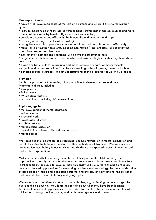# **Our pupils should:**

• have a well-developed sense of the size of a number and where it fits into the number system

- know by heart number facts such as number bonds, multiplication tables, doubles and halves
- use what they know by heart to figure out numbers mentally
- calculate accurately and efficiently, both mentally and in writing and paper,
- drawing on a range of calculation strategies
- recognise when it is appropriate to use a calculator and be able to do so effectively

• make sense of number problems, including non-routine/'real' problems and identify the operations needed to solve them

• explain their methods and reasoning, using correct mathematical terms

• judge whether their answers are reasonable and have strategies for checking them where necessary

- suggest suitable units for measuring and make sensible estimates of measurements
- explain and make predictions from the numbers in graphs, diagrams, charts and tables
- develop spatial awareness and an understanding of the properties of 2d and 3dshapes

#### **Provision**

Pupils are provided with a variety of opportunities to develop and extend their Mathematical skills, including:

- Group work
- Paired work
- Whole class teaching
- Individual work including 1:1 interventions

#### **Pupils engage in:**

- the development of mental strategies
- written methods
- practical work
- investigational work
- problem solving
- mathematical discussion
- consolidation of basic skills and number facts
- maths games

We recognise the importance of establishing a secure foundation in mental calculation and recall of number facts before standard written methods are introduced. We use accurate mathematical vocabulary in our teaching and children are expected to use it in their verbal and written explanations.

Mathematics contributes to many subjects and it is important the children are given opportunities to apply and use Mathematics in real contexts. It is important that time is found in other subjects for pupils to develop their Numeracy Skills, e.g. there should be regular, carefully planned opportunities for measuring in science and technology, for the consideration of properties of shape and geometric patterns in technology and art, and for the collection and presentation of data in history and geography.

We endeavour at all times to set work that is challenging, motivating and encourages the pupils to think about how they learn and to talk about what they have been learning. Additional enrichment opportunities are provided for pupils to further develop mathematical thinking e.g. through cooking, music, and maths investigations and games.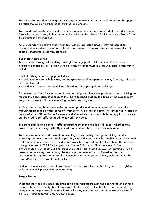Teachers plan problem solving and investigational activities every week to ensure that pupils develop the skills of mathematical thinking and enquiry.

To provide adequate time for developing mathematics, maths is taught daily and discretely. Maths lessons may vary in length but will usually last for about 45 minutes in Key Stage 1 and 60 minutes in Key Stage 2.

At Shawlands, we believe that if firm foundations are established in key mathematical concepts then children are able to develop a deeper and more cohesive understanding of complex mathematics as they develop.

#### **Teaching Approaches**

Teachers use a range of teaching strategies to engage the children in maths and ensure progress is made by all children within a class; no set formula is used. A typical lesson would include:

• Both teaching input and pupil activities,

• A balance between whole class, guided grouped and independent work, (groups, pairs and individual work)

• effectively differentiated activities/objectives and appropriate challenge.

Sometimes the focus for the session is new learning, at other times pupils may be practising, to master the application of a concept they have learned earlier. The focus of the session may vary for different children depending on their learning needs.

At times there may be opportunities to develop skills and understanding of mathematics through additional activities, some of which may take place at home. The school has invested in 'Mathletics' and 'Times Table Rockstars' websites which are accessible learning platforms that can be used to set differentiated homework for pupils.

Teachers plan learning that is differentiated to meet the needs of all pupils, whether they have a specific learning difficulty in maths or whether they are particularly able.

Teachers endeavour to differentiate learning appropriately for high attaining, middle attaining and low attaining pupils – possibly with individual work for an SEN pupil at one end of the achievement spectrum, to individual work for a gifted pupil at the other. This is done through the use of 'Chilli Challenge: 'Hot', 'Super Spicy' and 'Blow Your Mind'. The differentiated work is set out and children can then pick their own level of learning within a lesson to ensure they are accssing the appropriate level of work. Sometimes teacher intervention is required to ensure this; however, for the majority of time, children should be 'trusted' to pick the correct level for them.

During a lesson, children can choose to move up or down the levels if they need to – giving children ownership over their own learning.

## **Target Setting**

**I**f the teacher feels it is need, children can be set targets through feed forwards or during a lesson – these are usually short term targets that are met within that lesson or the next day. Longer term targets are given to children who may need to work on an overarching maths' skill e.g - number formations, number bonds.